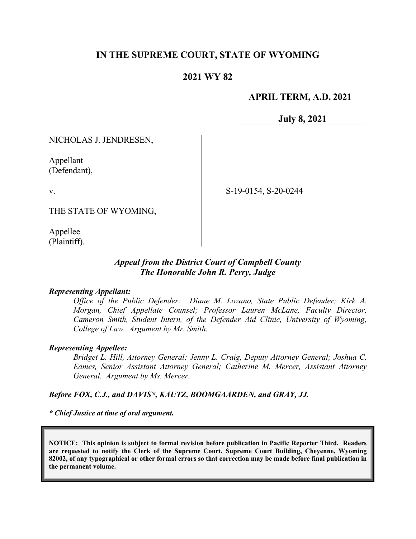## **IN THE SUPREME COURT, STATE OF WYOMING**

## **2021 WY 82**

## **APRIL TERM, A.D. 2021**

**July 8, 2021**

NICHOLAS J. JENDRESEN,

Appellant (Defendant),

v.

S-19-0154, S-20-0244

THE STATE OF WYOMING,

Appellee (Plaintiff).

### *Appeal from the District Court of Campbell County The Honorable John R. Perry, Judge*

### *Representing Appellant:*

*Office of the Public Defender: Diane M. Lozano, State Public Defender; Kirk A. Morgan, Chief Appellate Counsel; Professor Lauren McLane, Faculty Director, Cameron Smith, Student Intern, of the Defender Aid Clinic, University of Wyoming, College of Law. Argument by Mr. Smith.*

### *Representing Appellee:*

*Bridget L. Hill, Attorney General; Jenny L. Craig, Deputy Attorney General; Joshua C. Eames, Senior Assistant Attorney General; Catherine M. Mercer, Assistant Attorney General. Argument by Ms. Mercer.*

### *Before FOX, C.J., and DAVIS\*, KAUTZ, BOOMGAARDEN, and GRAY, JJ.*

*\* Chief Justice at time of oral argument.*

**NOTICE: This opinion is subject to formal revision before publication in Pacific Reporter Third. Readers are requested to notify the Clerk of the Supreme Court, Supreme Court Building, Cheyenne, Wyoming 82002, of any typographical or other formal errors so that correction may be made before final publication in the permanent volume.**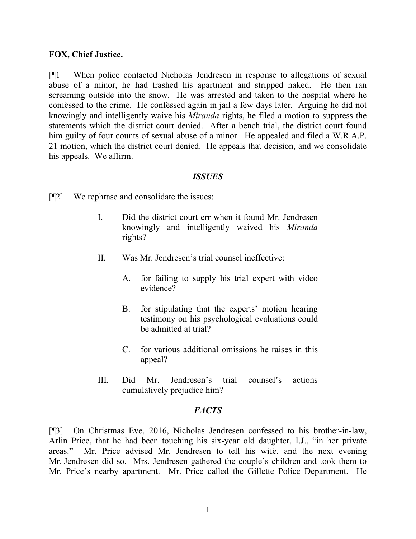### **FOX, Chief Justice.**

[¶1] When police contacted Nicholas Jendresen in response to allegations of sexual abuse of a minor, he had trashed his apartment and stripped naked. He then ran screaming outside into the snow. He was arrested and taken to the hospital where he confessed to the crime. He confessed again in jail a few days later. Arguing he did not knowingly and intelligently waive his *Miranda* rights, he filed a motion to suppress the statements which the district court denied. After a bench trial, the district court found him guilty of four counts of sexual abuse of a minor. He appealed and filed a W.R.A.P. 21 motion, which the district court denied. He appeals that decision, and we consolidate his appeals. We affirm.

### *ISSUES*

- [¶2] We rephrase and consolidate the issues:
	- I. Did the district court err when it found Mr. Jendresen knowingly and intelligently waived his *Miranda* rights?
	- II. Was Mr. Jendresen's trial counsel ineffective:
		- A. for failing to supply his trial expert with video evidence?
		- B. for stipulating that the experts' motion hearing testimony on his psychological evaluations could be admitted at trial?
		- C. for various additional omissions he raises in this appeal?
	- III. Did Mr. Jendresen's trial counsel's actions cumulatively prejudice him?

### *FACTS*

[¶3] On Christmas Eve, 2016, Nicholas Jendresen confessed to his brother-in-law, Arlin Price, that he had been touching his six-year old daughter, I.J., "in her private areas." Mr. Price advised Mr. Jendresen to tell his wife, and the next evening Mr. Jendresen did so. Mrs. Jendresen gathered the couple's children and took them to Mr. Price's nearby apartment. Mr. Price called the Gillette Police Department. He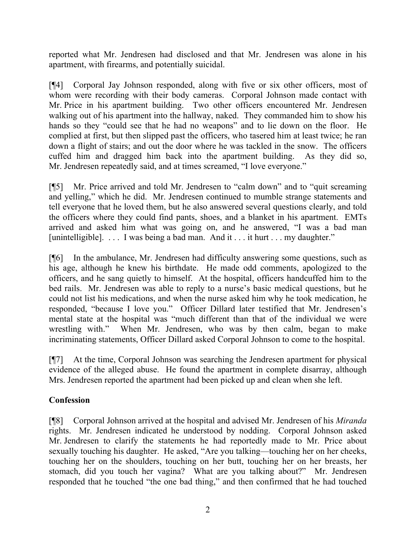reported what Mr. Jendresen had disclosed and that Mr. Jendresen was alone in his apartment, with firearms, and potentially suicidal.

[¶4] Corporal Jay Johnson responded, along with five or six other officers, most of whom were recording with their body cameras. Corporal Johnson made contact with Mr. Price in his apartment building. Two other officers encountered Mr. Jendresen walking out of his apartment into the hallway, naked. They commanded him to show his hands so they "could see that he had no weapons" and to lie down on the floor. He complied at first, but then slipped past the officers, who tasered him at least twice; he ran down a flight of stairs; and out the door where he was tackled in the snow. The officers cuffed him and dragged him back into the apartment building. As they did so, Mr. Jendresen repeatedly said, and at times screamed, "I love everyone."

[¶5] Mr. Price arrived and told Mr. Jendresen to "calm down" and to "quit screaming and yelling," which he did. Mr. Jendresen continued to mumble strange statements and tell everyone that he loved them, but he also answered several questions clearly, and told the officers where they could find pants, shoes, and a blanket in his apartment. EMTs arrived and asked him what was going on, and he answered, "I was a bad man [unintelligible]. . . . I was being a bad man. And it . . . it hurt . . . my daughter."

[¶6] In the ambulance, Mr. Jendresen had difficulty answering some questions, such as his age, although he knew his birthdate. He made odd comments, apologized to the officers, and he sang quietly to himself. At the hospital, officers handcuffed him to the bed rails. Mr. Jendresen was able to reply to a nurse's basic medical questions, but he could not list his medications, and when the nurse asked him why he took medication, he responded, "because I love you." Officer Dillard later testified that Mr. Jendresen's mental state at the hospital was "much different than that of the individual we were wrestling with." When Mr. Jendresen, who was by then calm, began to make incriminating statements, Officer Dillard asked Corporal Johnson to come to the hospital.

[¶7] At the time, Corporal Johnson was searching the Jendresen apartment for physical evidence of the alleged abuse. He found the apartment in complete disarray, although Mrs. Jendresen reported the apartment had been picked up and clean when she left.

# **Confession**

[¶8] Corporal Johnson arrived at the hospital and advised Mr. Jendresen of his *Miranda* rights. Mr. Jendresen indicated he understood by nodding. Corporal Johnson asked Mr. Jendresen to clarify the statements he had reportedly made to Mr. Price about sexually touching his daughter. He asked, "Are you talking—touching her on her cheeks, touching her on the shoulders, touching on her butt, touching her on her breasts, her stomach, did you touch her vagina? What are you talking about?" Mr. Jendresen responded that he touched "the one bad thing," and then confirmed that he had touched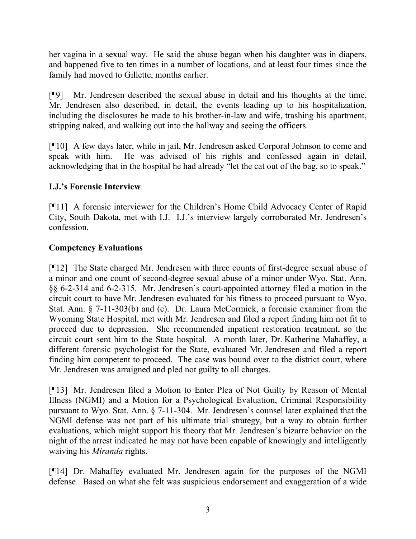her vagina in a sexual way. He said the abuse began when his daughter was in diapers, and happened five to ten times in a number of locations, and at least four times since the family had moved to Gillette, months earlier.

[¶9] Mr. Jendresen described the sexual abuse in detail and his thoughts at the time. Mr. Jendresen also described, in detail, the events leading up to his hospitalization, including the disclosures he made to his brother-in-law and wife, trashing his apartment, stripping naked, and walking out into the hallway and seeing the officers.

[¶10] A few days later, while in jail, Mr. Jendresen asked Corporal Johnson to come and speak with him. He was advised of his rights and confessed again in detail, acknowledging that in the hospital he had already "let the cat out of the bag, so to speak."

# **I.J.'s Forensic Interview**

[¶11] A forensic interviewer for the Children's Home Child Advocacy Center of Rapid City, South Dakota, met with I.J. I.J.'s interview largely corroborated Mr. Jendresen's confession.

## **Competency Evaluations**

[¶12] The State charged Mr. Jendresen with three counts of first-degree sexual abuse of a minor and one count of second-degree sexual abuse of a minor under Wyo. Stat. Ann. §§ 6-2-314 and 6-2-315. Mr. Jendresen's court-appointed attorney filed a motion in the circuit court to have Mr. Jendresen evaluated for his fitness to proceed pursuant to Wyo. Stat. Ann. § 7-11-303(b) and (c). Dr. Laura McCormick, a forensic examiner from the Wyoming State Hospital, met with Mr. Jendresen and filed a report finding him not fit to proceed due to depression. She recommended inpatient restoration treatment, so the circuit court sent him to the State hospital. A month later, Dr. Katherine Mahaffey, a different forensic psychologist for the State, evaluated Mr. Jendresen and filed a report finding him competent to proceed. The case was bound over to the district court, where Mr. Jendresen was arraigned and pled not guilty to all charges.

[¶13] Mr. Jendresen filed a Motion to Enter Plea of Not Guilty by Reason of Mental Illness (NGMI) and a Motion for a Psychological Evaluation, Criminal Responsibility pursuant to Wyo. Stat. Ann. § 7-11-304. Mr. Jendresen's counsel later explained that the NGMI defense was not part of his ultimate trial strategy, but a way to obtain further evaluations, which might support his theory that Mr. Jendresen's bizarre behavior on the night of the arrest indicated he may not have been capable of knowingly and intelligently waiving his *Miranda* rights.

[¶14] Dr. Mahaffey evaluated Mr. Jendresen again for the purposes of the NGMI defense. Based on what she felt was suspicious endorsement and exaggeration of a wide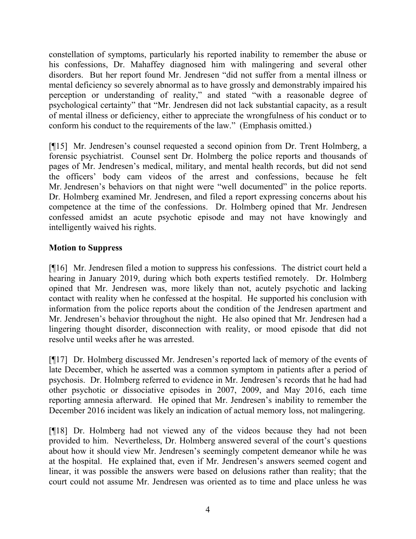constellation of symptoms, particularly his reported inability to remember the abuse or his confessions, Dr. Mahaffey diagnosed him with malingering and several other disorders. But her report found Mr. Jendresen "did not suffer from a mental illness or mental deficiency so severely abnormal as to have grossly and demonstrably impaired his perception or understanding of reality," and stated "with a reasonable degree of psychological certainty" that "Mr. Jendresen did not lack substantial capacity, as a result of mental illness or deficiency, either to appreciate the wrongfulness of his conduct or to conform his conduct to the requirements of the law." (Emphasis omitted.)

[¶15] Mr. Jendresen's counsel requested a second opinion from Dr. Trent Holmberg, a forensic psychiatrist. Counsel sent Dr. Holmberg the police reports and thousands of pages of Mr. Jendresen's medical, military, and mental health records, but did not send the officers' body cam videos of the arrest and confessions, because he felt Mr. Jendresen's behaviors on that night were "well documented" in the police reports. Dr. Holmberg examined Mr. Jendresen, and filed a report expressing concerns about his competence at the time of the confessions. Dr. Holmberg opined that Mr. Jendresen confessed amidst an acute psychotic episode and may not have knowingly and intelligently waived his rights.

# **Motion to Suppress**

[¶16] Mr. Jendresen filed a motion to suppress his confessions. The district court held a hearing in January 2019, during which both experts testified remotely. Dr. Holmberg opined that Mr. Jendresen was, more likely than not, acutely psychotic and lacking contact with reality when he confessed at the hospital. He supported his conclusion with information from the police reports about the condition of the Jendresen apartment and Mr. Jendresen's behavior throughout the night. He also opined that Mr. Jendresen had a lingering thought disorder, disconnection with reality, or mood episode that did not resolve until weeks after he was arrested.

[¶17] Dr. Holmberg discussed Mr. Jendresen's reported lack of memory of the events of late December, which he asserted was a common symptom in patients after a period of psychosis. Dr. Holmberg referred to evidence in Mr. Jendresen's records that he had had other psychotic or dissociative episodes in 2007, 2009, and May 2016, each time reporting amnesia afterward. He opined that Mr. Jendresen's inability to remember the December 2016 incident was likely an indication of actual memory loss, not malingering.

[¶18] Dr. Holmberg had not viewed any of the videos because they had not been provided to him. Nevertheless, Dr. Holmberg answered several of the court's questions about how it should view Mr. Jendresen's seemingly competent demeanor while he was at the hospital. He explained that, even if Mr. Jendresen's answers seemed cogent and linear, it was possible the answers were based on delusions rather than reality; that the court could not assume Mr. Jendresen was oriented as to time and place unless he was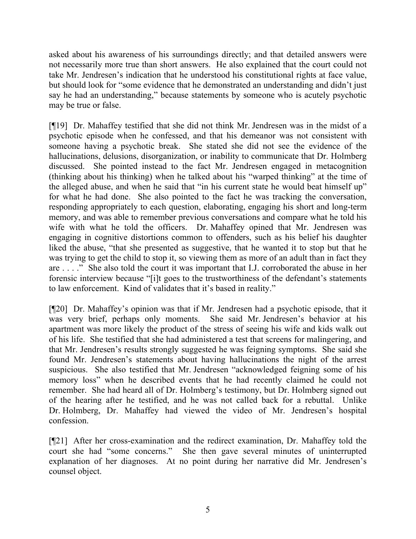asked about his awareness of his surroundings directly; and that detailed answers were not necessarily more true than short answers. He also explained that the court could not take Mr. Jendresen's indication that he understood his constitutional rights at face value, but should look for "some evidence that he demonstrated an understanding and didn't just say he had an understanding," because statements by someone who is acutely psychotic may be true or false.

[¶19] Dr. Mahaffey testified that she did not think Mr. Jendresen was in the midst of a psychotic episode when he confessed, and that his demeanor was not consistent with someone having a psychotic break. She stated she did not see the evidence of the hallucinations, delusions, disorganization, or inability to communicate that Dr. Holmberg discussed. She pointed instead to the fact Mr. Jendresen engaged in metacognition (thinking about his thinking) when he talked about his "warped thinking" at the time of the alleged abuse, and when he said that "in his current state he would beat himself up" for what he had done. She also pointed to the fact he was tracking the conversation, responding appropriately to each question, elaborating, engaging his short and long-term memory, and was able to remember previous conversations and compare what he told his wife with what he told the officers. Dr. Mahaffey opined that Mr. Jendresen was engaging in cognitive distortions common to offenders, such as his belief his daughter liked the abuse, "that she presented as suggestive, that he wanted it to stop but that he was trying to get the child to stop it, so viewing them as more of an adult than in fact they are . . . ." She also told the court it was important that I.J. corroborated the abuse in her forensic interview because "[i]t goes to the trustworthiness of the defendant's statements to law enforcement. Kind of validates that it's based in reality."

[¶20] Dr. Mahaffey's opinion was that if Mr. Jendresen had a psychotic episode, that it was very brief, perhaps only moments. She said Mr. Jendresen's behavior at his apartment was more likely the product of the stress of seeing his wife and kids walk out of his life. She testified that she had administered a test that screens for malingering, and that Mr. Jendresen's results strongly suggested he was feigning symptoms. She said she found Mr. Jendresen's statements about having hallucinations the night of the arrest suspicious. She also testified that Mr. Jendresen "acknowledged feigning some of his memory loss" when he described events that he had recently claimed he could not remember. She had heard all of Dr. Holmberg's testimony, but Dr. Holmberg signed out of the hearing after he testified, and he was not called back for a rebuttal. Unlike Dr. Holmberg, Dr. Mahaffey had viewed the video of Mr. Jendresen's hospital confession.

[¶21] After her cross-examination and the redirect examination, Dr. Mahaffey told the court she had "some concerns." She then gave several minutes of uninterrupted explanation of her diagnoses. At no point during her narrative did Mr. Jendresen's counsel object.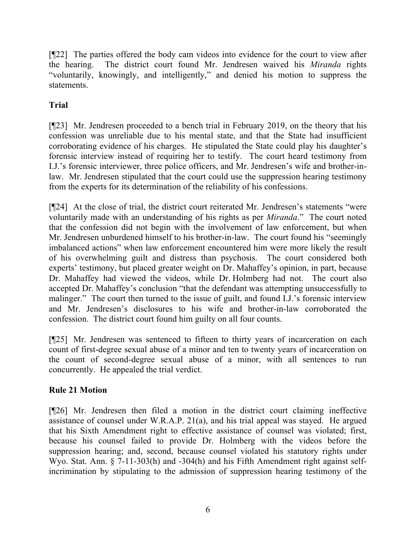[¶22] The parties offered the body cam videos into evidence for the court to view after the hearing. The district court found Mr. Jendresen waived his *Miranda* rights "voluntarily, knowingly, and intelligently," and denied his motion to suppress the statements.

# **Trial**

[¶23] Mr. Jendresen proceeded to a bench trial in February 2019, on the theory that his confession was unreliable due to his mental state, and that the State had insufficient corroborating evidence of his charges. He stipulated the State could play his daughter's forensic interview instead of requiring her to testify. The court heard testimony from I.J.'s forensic interviewer, three police officers, and Mr. Jendresen's wife and brother-inlaw. Mr. Jendresen stipulated that the court could use the suppression hearing testimony from the experts for its determination of the reliability of his confessions.

[¶24] At the close of trial, the district court reiterated Mr. Jendresen's statements "were voluntarily made with an understanding of his rights as per *Miranda*." The court noted that the confession did not begin with the involvement of law enforcement, but when Mr. Jendresen unburdened himself to his brother-in-law. The court found his "seemingly imbalanced actions" when law enforcement encountered him were more likely the result of his overwhelming guilt and distress than psychosis. The court considered both experts' testimony, but placed greater weight on Dr. Mahaffey's opinion, in part, because Dr. Mahaffey had viewed the videos, while Dr. Holmberg had not. The court also accepted Dr. Mahaffey's conclusion "that the defendant was attempting unsuccessfully to malinger." The court then turned to the issue of guilt, and found I.J.'s forensic interview and Mr. Jendresen's disclosures to his wife and brother-in-law corroborated the confession. The district court found him guilty on all four counts.

[¶25] Mr. Jendresen was sentenced to fifteen to thirty years of incarceration on each count of first-degree sexual abuse of a minor and ten to twenty years of incarceration on the count of second-degree sexual abuse of a minor, with all sentences to run concurrently. He appealed the trial verdict.

# **Rule 21 Motion**

[¶26] Mr. Jendresen then filed a motion in the district court claiming ineffective assistance of counsel under W.R.A.P. 21(a), and his trial appeal was stayed. He argued that his Sixth Amendment right to effective assistance of counsel was violated; first, because his counsel failed to provide Dr. Holmberg with the videos before the suppression hearing; and, second, because counsel violated his statutory rights under Wyo. Stat. Ann. § 7-11-303(h) and -304(h) and his Fifth Amendment right against selfincrimination by stipulating to the admission of suppression hearing testimony of the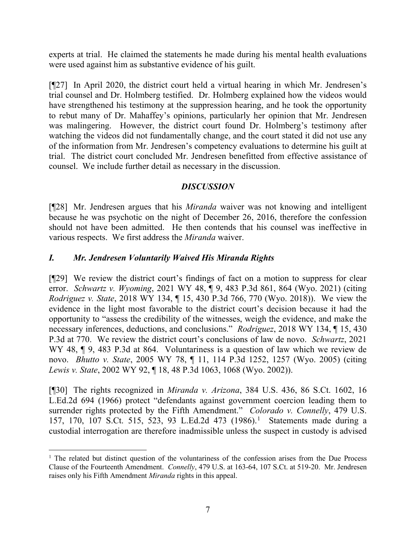experts at trial. He claimed the statements he made during his mental health evaluations were used against him as substantive evidence of his guilt.

[¶27] In April 2020, the district court held a virtual hearing in which Mr. Jendresen's trial counsel and Dr. Holmberg testified. Dr. Holmberg explained how the videos would have strengthened his testimony at the suppression hearing, and he took the opportunity to rebut many of Dr. Mahaffey's opinions, particularly her opinion that Mr. Jendresen was malingering. However, the district court found Dr. Holmberg's testimony after watching the videos did not fundamentally change, and the court stated it did not use any of the information from Mr. Jendresen's competency evaluations to determine his guilt at trial. The district court concluded Mr. Jendresen benefitted from effective assistance of counsel. We include further detail as necessary in the discussion.

# *DISCUSSION*

[¶28] Mr. Jendresen argues that his *Miranda* waiver was not knowing and intelligent because he was psychotic on the night of December 26, 2016, therefore the confession should not have been admitted. He then contends that his counsel was ineffective in various respects. We first address the *Miranda* waiver.

# *I. Mr. Jendresen Voluntarily Waived His Miranda Rights*

[¶29] We review the district court's findings of fact on a motion to suppress for clear error. *Schwartz v. Wyoming*, 2021 WY 48, ¶ 9, 483 P.3d 861, 864 (Wyo. 2021) (citing *Rodriguez v. State*, 2018 WY 134, ¶ 15, 430 P.3d 766, 770 (Wyo. 2018)). We view the evidence in the light most favorable to the district court's decision because it had the opportunity to "assess the credibility of the witnesses, weigh the evidence, and make the necessary inferences, deductions, and conclusions." *Rodriguez*, 2018 WY 134, ¶ 15, 430 P.3d at 770. We review the district court's conclusions of law de novo. *Schwartz*, 2021 WY 48, ¶ 9, 483 P.3d at 864. Voluntariness is a question of law which we review de novo. *Bhutto v. State*, 2005 WY 78, ¶ 11, 114 P.3d 1252, 1257 (Wyo. 2005) (citing *Lewis v. State*, 2002 WY 92, ¶ 18, 48 P.3d 1063, 1068 (Wyo. 2002)).

[¶30] The rights recognized in *Miranda v. Arizona*, 384 U.S. 436, 86 S.Ct. 1602, 16 L.Ed.2d 694 (1966) protect "defendants against government coercion leading them to surrender rights protected by the Fifth Amendment." *Colorado v. Connelly*, 479 U.S. 157, 170, 107 S.Ct. 515, 523, 93 L.Ed.2d 473 (1986). [1](#page-7-0) Statements made during a custodial interrogation are therefore inadmissible unless the suspect in custody is advised

<span id="page-7-0"></span><sup>&</sup>lt;sup>1</sup> The related but distinct question of the voluntariness of the confession arises from the Due Process Clause of the Fourteenth Amendment. *Connelly*, 479 U.S. at 163-64, 107 S.Ct. at 519-20. Mr. Jendresen raises only his Fifth Amendment *Miranda* rights in this appeal.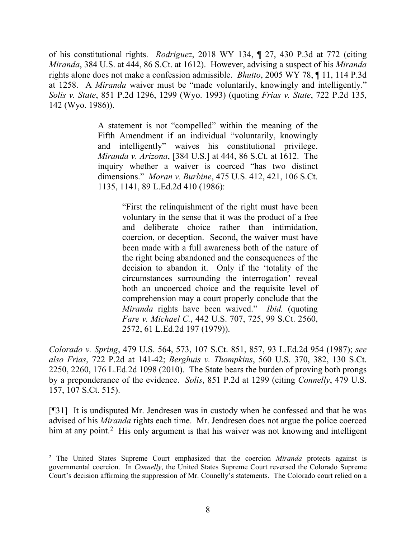of his constitutional rights. *Rodriguez*, 2018 WY 134, ¶ 27, 430 P.3d at 772 (citing *Miranda*, 384 U.S. at 444, 86 S.Ct. at 1612). However, advising a suspect of his *Miranda*  rights alone does not make a confession admissible. *Bhutto*, 2005 WY 78, ¶ 11, 114 P.3d at 1258. A *Miranda* waiver must be "made voluntarily, knowingly and intelligently." *Solis v. State*, 851 P.2d 1296, 1299 (Wyo. 1993) (quoting *Frias v. State*, 722 P.2d 135, 142 (Wyo. 1986)).

> A statement is not "compelled" within the meaning of the Fifth Amendment if an individual "voluntarily, knowingly and intelligently" waives his constitutional privilege. *Miranda v. Arizona*, [384 U.S.] at 444, 86 S.Ct. at 1612. The inquiry whether a waiver is coerced "has two distinct dimensions." *Moran v. Burbine*, 475 U.S. 412, 421, 106 S.Ct. 1135, 1141, 89 L.Ed.2d 410 (1986):

> > "First the relinquishment of the right must have been voluntary in the sense that it was the product of a free and deliberate choice rather than intimidation, coercion, or deception. Second, the waiver must have been made with a full awareness both of the nature of the right being abandoned and the consequences of the decision to abandon it. Only if the 'totality of the circumstances surrounding the interrogation' reveal both an uncoerced choice and the requisite level of comprehension may a court properly conclude that the *Miranda* rights have been waived." *Ibid.* (quoting *Fare v. Michael C.*, 442 U.S. 707, 725, 99 S.Ct. 2560, 2572, 61 L.Ed.2d 197 (1979)).

*Colorado v. Spring*, 479 U.S. 564, 573, 107 S.Ct. 851, 857, 93 L.Ed.2d 954 (1987); *see also Frias*, 722 P.2d at 141-42; *Berghuis v. Thompkins*, 560 U.S. 370, 382, 130 S.Ct. 2250, 2260, 176 L.Ed.2d 1098 (2010). The State bears the burden of proving both prongs by a preponderance of the evidence. *Solis*, 851 P.2d at 1299 (citing *Connelly*, 479 U.S. 157, 107 S.Ct. 515).

[¶31] It is undisputed Mr. Jendresen was in custody when he confessed and that he was advised of his *Miranda* rights each time. Mr. Jendresen does not argue the police coerced him at any point.<sup>[2](#page-8-0)</sup> His only argument is that his waiver was not knowing and intelligent

<span id="page-8-0"></span><sup>2</sup> The United States Supreme Court emphasized that the coercion *Miranda* protects against is governmental coercion. In *Connelly*, the United States Supreme Court reversed the Colorado Supreme Court's decision affirming the suppression of Mr. Connelly's statements. The Colorado court relied on a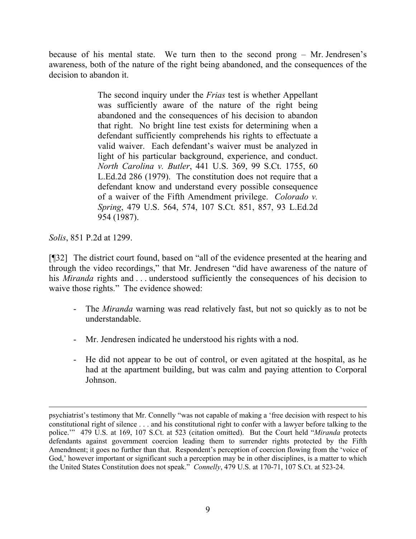because of his mental state. We turn then to the second prong – Mr. Jendresen's awareness, both of the nature of the right being abandoned, and the consequences of the decision to abandon it.

> The second inquiry under the *Frias* test is whether Appellant was sufficiently aware of the nature of the right being abandoned and the consequences of his decision to abandon that right. No bright line test exists for determining when a defendant sufficiently comprehends his rights to effectuate a valid waiver. Each defendant's waiver must be analyzed in light of his particular background, experience, and conduct. *North Carolina v. Butler*, 441 U.S. 369, 99 S.Ct. 1755, 60 L.Ed.2d 286 (1979). The constitution does not require that a defendant know and understand every possible consequence of a waiver of the Fifth Amendment privilege. *Colorado v. Spring*, 479 U.S. 564, 574, 107 S.Ct. 851, 857, 93 L.Ed.2d 954 (1987).

*Solis*, 851 P.2d at 1299.

[¶32] The district court found, based on "all of the evidence presented at the hearing and through the video recordings," that Mr. Jendresen "did have awareness of the nature of his *Miranda* rights and ... understood sufficiently the consequences of his decision to waive those rights." The evidence showed:

- The *Miranda* warning was read relatively fast, but not so quickly as to not be understandable.
- Mr. Jendresen indicated he understood his rights with a nod.
- He did not appear to be out of control, or even agitated at the hospital, as he had at the apartment building, but was calm and paying attention to Corporal Johnson.

psychiatrist's testimony that Mr. Connelly "was not capable of making a 'free decision with respect to his constitutional right of silence . . . and his constitutional right to confer with a lawyer before talking to the police.'" 479 U.S. at 169, 107 S.Ct. at 523 (citation omitted). But the Court held "*Miranda* protects defendants against government coercion leading them to surrender rights protected by the Fifth Amendment; it goes no further than that. Respondent's perception of coercion flowing from the 'voice of God,' however important or significant such a perception may be in other disciplines, is a matter to which the United States Constitution does not speak." *Connelly*, 479 U.S. at 170-71, 107 S.Ct. at 523-24.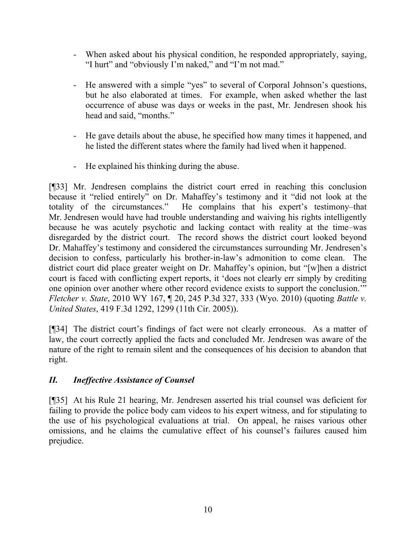- When asked about his physical condition, he responded appropriately, saying, "I hurt" and "obviously I'm naked," and "I'm not mad."
- He answered with a simple "yes" to several of Corporal Johnson's questions, but he also elaborated at times. For example, when asked whether the last occurrence of abuse was days or weeks in the past, Mr. Jendresen shook his head and said, "months."
- He gave details about the abuse, he specified how many times it happened, and he listed the different states where the family had lived when it happened.
- He explained his thinking during the abuse.

[¶33] Mr. Jendresen complains the district court erred in reaching this conclusion because it "relied entirely" on Dr. Mahaffey's testimony and it "did not look at the totality of the circumstances." He complains that his expert's testimony–that Mr. Jendresen would have had trouble understanding and waiving his rights intelligently because he was acutely psychotic and lacking contact with reality at the time–was disregarded by the district court. The record shows the district court looked beyond Dr. Mahaffey's testimony and considered the circumstances surrounding Mr. Jendresen's decision to confess, particularly his brother-in-law's admonition to come clean. The district court did place greater weight on Dr. Mahaffey's opinion, but "[w]hen a district court is faced with conflicting expert reports, it 'does not clearly err simply by crediting one opinion over another where other record evidence exists to support the conclusion.'" *Fletcher v. State*, 2010 WY 167, ¶ 20, 245 P.3d 327, 333 (Wyo. 2010) (quoting *Battle v. United States*, 419 F.3d 1292, 1299 (11th Cir. 2005)).

[¶34] The district court's findings of fact were not clearly erroneous. As a matter of law, the court correctly applied the facts and concluded Mr. Jendresen was aware of the nature of the right to remain silent and the consequences of his decision to abandon that right.

# *II. Ineffective Assistance of Counsel*

[¶35] At his Rule 21 hearing, Mr. Jendresen asserted his trial counsel was deficient for failing to provide the police body cam videos to his expert witness, and for stipulating to the use of his psychological evaluations at trial. On appeal, he raises various other omissions, and he claims the cumulative effect of his counsel's failures caused him prejudice.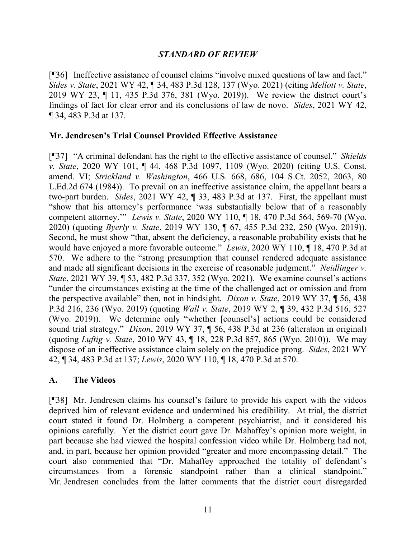## *STANDARD OF REVIEW*

[¶36] Ineffective assistance of counsel claims "involve mixed questions of law and fact." *Sides v. State*, 2021 WY 42, ¶ 34, 483 P.3d 128, 137 (Wyo. 2021) (citing *Mellott v. State*, 2019 WY 23, ¶ 11, 435 P.3d 376, 381 (Wyo. 2019)). We review the district court's findings of fact for clear error and its conclusions of law de novo. *Sides*, 2021 WY 42, ¶ 34, 483 P.3d at 137.

### **Mr. Jendresen's Trial Counsel Provided Effective Assistance**

[¶37] "A criminal defendant has the right to the effective assistance of counsel." *Shields v. State*, 2020 WY 101, ¶ 44, 468 P.3d 1097, 1109 (Wyo. 2020) (citing U.S. Const. amend. VI; *Strickland v. Washington*, 466 U.S. 668, 686, 104 S.Ct. 2052, 2063, 80 L.Ed.2d 674 (1984)). To prevail on an ineffective assistance claim, the appellant bears a two-part burden. *Sides*, 2021 WY 42, ¶ 33, 483 P.3d at 137. First, the appellant must "show that his attorney's performance 'was substantially below that of a reasonably competent attorney.'" *Lewis v. State*, 2020 WY 110, ¶ 18, 470 P.3d 564, 569-70 (Wyo. 2020) (quoting *Byerly v. State*, 2019 WY 130, ¶ 67, 455 P.3d 232, 250 (Wyo. 2019)). Second, he must show "that, absent the deficiency, a reasonable probability exists that he would have enjoyed a more favorable outcome." *Lewis*, 2020 WY 110, ¶ 18, 470 P.3d at 570. We adhere to the "strong presumption that counsel rendered adequate assistance and made all significant decisions in the exercise of reasonable judgment." *Neidlinger v. State*, 2021 WY 39, ¶ 53, 482 P.3d 337, 352 (Wyo. 2021). We examine counsel's actions "under the circumstances existing at the time of the challenged act or omission and from the perspective available" then, not in hindsight. *Dixon v. State*, 2019 WY 37, ¶ 56, 438 P.3d 216, 236 (Wyo. 2019) (quoting *Wall v. State*, 2019 WY 2, ¶ 39, 432 P.3d 516, 527 (Wyo. 2019)). We determine only "whether [counsel's] actions could be considered sound trial strategy." *Dixon*, 2019 WY 37, ¶ 56, 438 P.3d at 236 (alteration in original) (quoting *Luftig v. State*, 2010 WY 43, ¶ 18, 228 P.3d 857, 865 (Wyo. 2010)). We may dispose of an ineffective assistance claim solely on the prejudice prong. *Sides*, 2021 WY 42, ¶ 34, 483 P.3d at 137; *Lewis*, 2020 WY 110, ¶ 18, 470 P.3d at 570.

## **A. The Videos**

[¶38] Mr. Jendresen claims his counsel's failure to provide his expert with the videos deprived him of relevant evidence and undermined his credibility. At trial, the district court stated it found Dr. Holmberg a competent psychiatrist, and it considered his opinions carefully. Yet the district court gave Dr. Mahaffey's opinion more weight, in part because she had viewed the hospital confession video while Dr. Holmberg had not, and, in part, because her opinion provided "greater and more encompassing detail." The court also commented that "Dr. Mahaffey approached the totality of defendant's circumstances from a forensic standpoint rather than a clinical standpoint." Mr. Jendresen concludes from the latter comments that the district court disregarded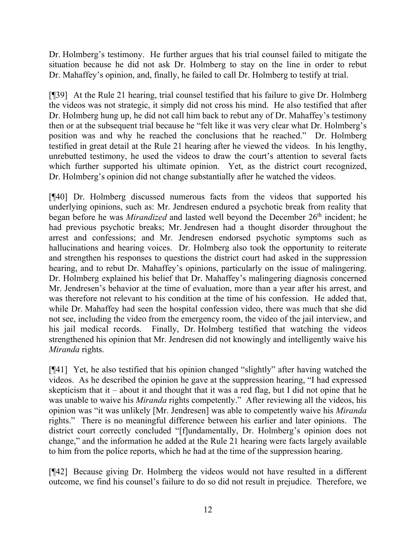Dr. Holmberg's testimony. He further argues that his trial counsel failed to mitigate the situation because he did not ask Dr. Holmberg to stay on the line in order to rebut Dr. Mahaffey's opinion, and, finally, he failed to call Dr. Holmberg to testify at trial.

[¶39] At the Rule 21 hearing, trial counsel testified that his failure to give Dr. Holmberg the videos was not strategic, it simply did not cross his mind. He also testified that after Dr. Holmberg hung up, he did not call him back to rebut any of Dr. Mahaffey's testimony then or at the subsequent trial because he "felt like it was very clear what Dr. Holmberg's position was and why he reached the conclusions that he reached." Dr. Holmberg testified in great detail at the Rule 21 hearing after he viewed the videos. In his lengthy, unrebutted testimony, he used the videos to draw the court's attention to several facts which further supported his ultimate opinion. Yet, as the district court recognized, Dr. Holmberg's opinion did not change substantially after he watched the videos.

[¶40] Dr. Holmberg discussed numerous facts from the videos that supported his underlying opinions, such as: Mr. Jendresen endured a psychotic break from reality that began before he was *Mirandized* and lasted well beyond the December 26<sup>th</sup> incident; he had previous psychotic breaks; Mr. Jendresen had a thought disorder throughout the arrest and confessions; and Mr. Jendresen endorsed psychotic symptoms such as hallucinations and hearing voices. Dr. Holmberg also took the opportunity to reiterate and strengthen his responses to questions the district court had asked in the suppression hearing, and to rebut Dr. Mahaffey's opinions, particularly on the issue of malingering. Dr. Holmberg explained his belief that Dr. Mahaffey's malingering diagnosis concerned Mr. Jendresen's behavior at the time of evaluation, more than a year after his arrest, and was therefore not relevant to his condition at the time of his confession. He added that, while Dr. Mahaffey had seen the hospital confession video, there was much that she did not see, including the video from the emergency room, the video of the jail interview, and his jail medical records. Finally, Dr. Holmberg testified that watching the videos strengthened his opinion that Mr. Jendresen did not knowingly and intelligently waive his *Miranda* rights.

[¶41] Yet, he also testified that his opinion changed "slightly" after having watched the videos. As he described the opinion he gave at the suppression hearing, "I had expressed skepticism that it – about it and thought that it was a red flag, but I did not opine that he was unable to waive his *Miranda* rights competently." After reviewing all the videos, his opinion was "it was unlikely [Mr. Jendresen] was able to competently waive his *Miranda*  rights." There is no meaningful difference between his earlier and later opinions. The district court correctly concluded "[f]undamentally, Dr. Holmberg's opinion does not change," and the information he added at the Rule 21 hearing were facts largely available to him from the police reports, which he had at the time of the suppression hearing.

[¶42] Because giving Dr. Holmberg the videos would not have resulted in a different outcome, we find his counsel's failure to do so did not result in prejudice. Therefore, we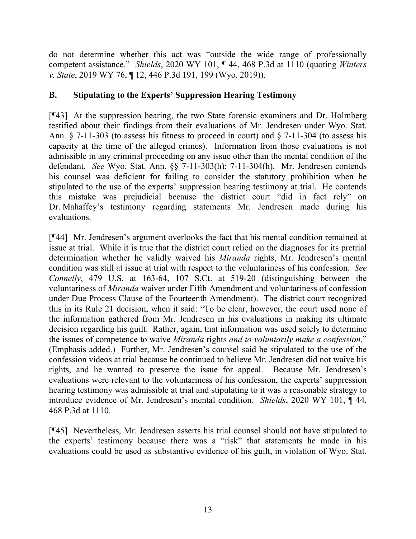do not determine whether this act was "outside the wide range of professionally competent assistance." *Shields*, 2020 WY 101, ¶ 44, 468 P.3d at 1110 (quoting *Winters v. State*, 2019 WY 76, ¶ 12, 446 P.3d 191, 199 (Wyo. 2019)).

# **B. Stipulating to the Experts' Suppression Hearing Testimony**

[¶43] At the suppression hearing, the two State forensic examiners and Dr. Holmberg testified about their findings from their evaluations of Mr. Jendresen under Wyo. Stat. Ann. § 7-11-303 (to assess his fitness to proceed in court) and § 7-11-304 (to assess his capacity at the time of the alleged crimes). Information from those evaluations is not admissible in any criminal proceeding on any issue other than the mental condition of the defendant. *See* Wyo. Stat. Ann. §§ 7-11-303(h); 7-11-304(h). Mr. Jendresen contends his counsel was deficient for failing to consider the statutory prohibition when he stipulated to the use of the experts' suppression hearing testimony at trial. He contends this mistake was prejudicial because the district court "did in fact rely" on Dr. Mahaffey's testimony regarding statements Mr. Jendresen made during his evaluations.

[¶44] Mr. Jendresen's argument overlooks the fact that his mental condition remained at issue at trial. While it is true that the district court relied on the diagnoses for its pretrial determination whether he validly waived his *Miranda* rights, Mr. Jendresen's mental condition was still at issue at trial with respect to the voluntariness of his confession. *See Connelly*, 479 U.S. at 163-64, 107 S.Ct. at 519-20 (distinguishing between the voluntariness of *Miranda* waiver under Fifth Amendment and voluntariness of confession under Due Process Clause of the Fourteenth Amendment). The district court recognized this in its Rule 21 decision, when it said: "To be clear, however, the court used none of the information gathered from Mr. Jendresen in his evaluations in making its ultimate decision regarding his guilt. Rather, again, that information was used solely to determine the issues of competence to waive *Miranda* rights *and to voluntarily make a confession*." (Emphasis added.) Further, Mr. Jendresen's counsel said he stipulated to the use of the confession videos at trial because he continued to believe Mr. Jendresen did not waive his rights, and he wanted to preserve the issue for appeal. Because Mr. Jendresen's evaluations were relevant to the voluntariness of his confession, the experts' suppression hearing testimony was admissible at trial and stipulating to it was a reasonable strategy to introduce evidence of Mr. Jendresen's mental condition. *Shields*, 2020 WY 101, ¶ 44, 468 P.3d at 1110.

[¶45] Nevertheless, Mr. Jendresen asserts his trial counsel should not have stipulated to the experts' testimony because there was a "risk" that statements he made in his evaluations could be used as substantive evidence of his guilt, in violation of Wyo. Stat.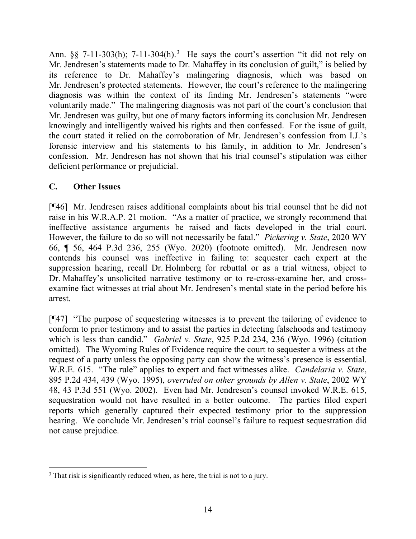Ann.  $\S$  7-11-[3](#page-14-0)03(h); 7-11-304(h).<sup>3</sup> He says the court's assertion "it did not rely on Mr. Jendresen's statements made to Dr. Mahaffey in its conclusion of guilt," is belied by its reference to Dr. Mahaffey's malingering diagnosis, which was based on Mr. Jendresen's protected statements. However, the court's reference to the malingering diagnosis was within the context of its finding Mr. Jendresen's statements "were voluntarily made." The malingering diagnosis was not part of the court's conclusion that Mr. Jendresen was guilty, but one of many factors informing its conclusion Mr. Jendresen knowingly and intelligently waived his rights and then confessed. For the issue of guilt, the court stated it relied on the corroboration of Mr. Jendresen's confession from I.J.'s forensic interview and his statements to his family, in addition to Mr. Jendresen's confession. Mr. Jendresen has not shown that his trial counsel's stipulation was either deficient performance or prejudicial.

# **C. Other Issues**

[¶46] Mr. Jendresen raises additional complaints about his trial counsel that he did not raise in his W.R.A.P. 21 motion. "As a matter of practice, we strongly recommend that ineffective assistance arguments be raised and facts developed in the trial court. However, the failure to do so will not necessarily be fatal." *Pickering v. State*, 2020 WY 66, ¶ 56, 464 P.3d 236, 255 (Wyo. 2020) (footnote omitted). Mr. Jendresen now contends his counsel was ineffective in failing to: sequester each expert at the suppression hearing, recall Dr. Holmberg for rebuttal or as a trial witness, object to Dr. Mahaffey's unsolicited narrative testimony or to re-cross-examine her, and crossexamine fact witnesses at trial about Mr. Jendresen's mental state in the period before his arrest.

[¶47] "The purpose of sequestering witnesses is to prevent the tailoring of evidence to conform to prior testimony and to assist the parties in detecting falsehoods and testimony which is less than candid." *Gabriel v. State*, 925 P.2d 234, 236 (Wyo. 1996) (citation omitted). The Wyoming Rules of Evidence require the court to sequester a witness at the request of a party unless the opposing party can show the witness's presence is essential. W.R.E. 615. "The rule" applies to expert and fact witnesses alike. *Candelaria v. State*, 895 P.2d 434, 439 (Wyo. 1995), *overruled on other grounds by Allen v. State*, 2002 WY 48, 43 P.3d 551 (Wyo. 2002). Even had Mr. Jendresen's counsel invoked W.R.E. 615, sequestration would not have resulted in a better outcome. The parties filed expert reports which generally captured their expected testimony prior to the suppression hearing. We conclude Mr. Jendresen's trial counsel's failure to request sequestration did not cause prejudice.

<span id="page-14-0"></span><sup>&</sup>lt;sup>3</sup> That risk is significantly reduced when, as here, the trial is not to a jury.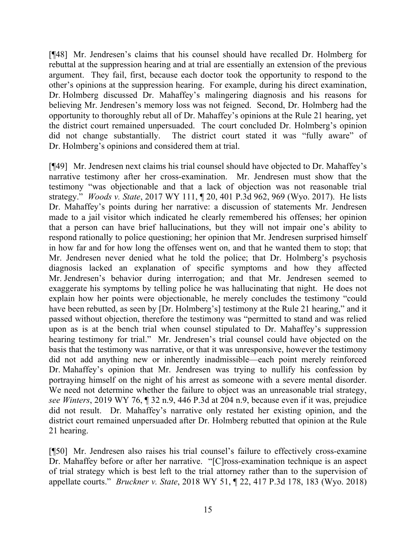[¶48] Mr. Jendresen's claims that his counsel should have recalled Dr. Holmberg for rebuttal at the suppression hearing and at trial are essentially an extension of the previous argument. They fail, first, because each doctor took the opportunity to respond to the other's opinions at the suppression hearing. For example, during his direct examination, Dr. Holmberg discussed Dr. Mahaffey's malingering diagnosis and his reasons for believing Mr. Jendresen's memory loss was not feigned. Second, Dr. Holmberg had the opportunity to thoroughly rebut all of Dr. Mahaffey's opinions at the Rule 21 hearing, yet the district court remained unpersuaded. The court concluded Dr. Holmberg's opinion did not change substantially. The district court stated it was "fully aware" of Dr. Holmberg's opinions and considered them at trial.

[¶49] Mr. Jendresen next claims his trial counsel should have objected to Dr. Mahaffey's narrative testimony after her cross-examination. Mr. Jendresen must show that the testimony "was objectionable and that a lack of objection was not reasonable trial strategy." *Woods v. State*, 2017 WY 111, ¶ 20, 401 P.3d 962, 969 (Wyo. 2017). He lists Dr. Mahaffey's points during her narrative: a discussion of statements Mr. Jendresen made to a jail visitor which indicated he clearly remembered his offenses; her opinion that a person can have brief hallucinations, but they will not impair one's ability to respond rationally to police questioning; her opinion that Mr. Jendresen surprised himself in how far and for how long the offenses went on, and that he wanted them to stop; that Mr. Jendresen never denied what he told the police; that Dr. Holmberg's psychosis diagnosis lacked an explanation of specific symptoms and how they affected Mr. Jendresen's behavior during interrogation; and that Mr. Jendresen seemed to exaggerate his symptoms by telling police he was hallucinating that night. He does not explain how her points were objectionable, he merely concludes the testimony "could have been rebutted, as seen by [Dr. Holmberg's] testimony at the Rule 21 hearing," and it passed without objection, therefore the testimony was "permitted to stand and was relied upon as is at the bench trial when counsel stipulated to Dr. Mahaffey's suppression hearing testimony for trial." Mr. Jendresen's trial counsel could have objected on the basis that the testimony was narrative, or that it was unresponsive, however the testimony did not add anything new or inherently inadmissible—each point merely reinforced Dr. Mahaffey's opinion that Mr. Jendresen was trying to nullify his confession by portraying himself on the night of his arrest as someone with a severe mental disorder. We need not determine whether the failure to object was an unreasonable trial strategy, *see Winters*, 2019 WY 76, ¶ 32 n.9, 446 P.3d at 204 n.9, because even if it was, prejudice did not result. Dr. Mahaffey's narrative only restated her existing opinion, and the district court remained unpersuaded after Dr. Holmberg rebutted that opinion at the Rule 21 hearing.

[¶50] Mr. Jendresen also raises his trial counsel's failure to effectively cross-examine Dr. Mahaffey before or after her narrative. "[C]ross-examination technique is an aspect of trial strategy which is best left to the trial attorney rather than to the supervision of appellate courts." *Bruckner v. State*, 2018 WY 51, ¶ 22, 417 P.3d 178, 183 (Wyo. 2018)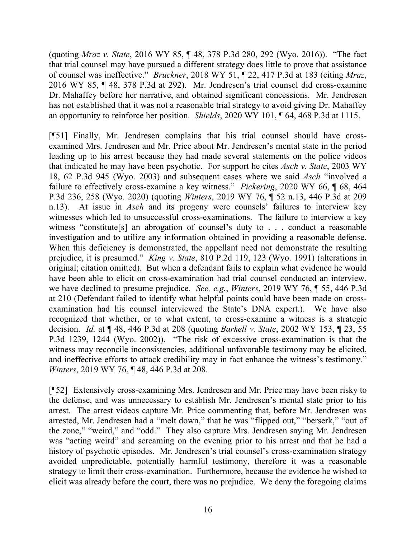(quoting *Mraz v. State*, 2016 WY 85, ¶ 48, 378 P.3d 280, 292 (Wyo. 2016)). "The fact that trial counsel may have pursued a different strategy does little to prove that assistance of counsel was ineffective." *Bruckner*, 2018 WY 51, ¶ 22, 417 P.3d at 183 (citing *Mraz*, 2016 WY 85, ¶ 48, 378 P.3d at 292). Mr. Jendresen's trial counsel did cross-examine Dr. Mahaffey before her narrative, and obtained significant concessions. Mr. Jendresen has not established that it was not a reasonable trial strategy to avoid giving Dr. Mahaffey an opportunity to reinforce her position. *Shields*, 2020 WY 101, ¶ 64, 468 P.3d at 1115.

[¶51] Finally, Mr. Jendresen complains that his trial counsel should have crossexamined Mrs. Jendresen and Mr. Price about Mr. Jendresen's mental state in the period leading up to his arrest because they had made several statements on the police videos that indicated he may have been psychotic. For support he cites *Asch v. State*, 2003 WY 18, 62 P.3d 945 (Wyo. 2003) and subsequent cases where we said *Asch* "involved a failure to effectively cross-examine a key witness." *Pickering*, 2020 WY 66, ¶ 68, 464 P.3d 236, 258 (Wyo. 2020) (quoting *Winters*, 2019 WY 76, ¶ 52 n.13, 446 P.3d at 209 n.13). At issue in *Asch* and its progeny were counsels' failures to interview key witnesses which led to unsuccessful cross-examinations. The failure to interview a key witness "constitute[s] an abrogation of counsel's duty to . . . conduct a reasonable investigation and to utilize any information obtained in providing a reasonable defense. When this deficiency is demonstrated, the appellant need not demonstrate the resulting prejudice, it is presumed." *King v. State*, 810 P.2d 119, 123 (Wyo. 1991) (alterations in original; citation omitted). But when a defendant fails to explain what evidence he would have been able to elicit on cross-examination had trial counsel conducted an interview, we have declined to presume prejudice. *See, e.g.*, *Winters*, 2019 WY 76, ¶ 55, 446 P.3d at 210 (Defendant failed to identify what helpful points could have been made on crossexamination had his counsel interviewed the State's DNA expert.). We have also recognized that whether, or to what extent, to cross-examine a witness is a strategic decision. *Id.* at ¶ 48, 446 P.3d at 208 (quoting *Barkell v. State*, 2002 WY 153, ¶ 23, 55 P.3d 1239, 1244 (Wyo. 2002)). "The risk of excessive cross-examination is that the witness may reconcile inconsistencies, additional unfavorable testimony may be elicited, and ineffective efforts to attack credibility may in fact enhance the witness's testimony." *Winters*, 2019 WY 76, ¶ 48, 446 P.3d at 208.

[¶52] Extensively cross-examining Mrs. Jendresen and Mr. Price may have been risky to the defense, and was unnecessary to establish Mr. Jendresen's mental state prior to his arrest. The arrest videos capture Mr. Price commenting that, before Mr. Jendresen was arrested, Mr. Jendresen had a "melt down," that he was "flipped out," "berserk," "out of the zone," "weird," and "odd." They also capture Mrs. Jendresen saying Mr. Jendresen was "acting weird" and screaming on the evening prior to his arrest and that he had a history of psychotic episodes. Mr. Jendresen's trial counsel's cross-examination strategy avoided unpredictable, potentially harmful testimony, therefore it was a reasonable strategy to limit their cross-examination. Furthermore, because the evidence he wished to elicit was already before the court, there was no prejudice. We deny the foregoing claims